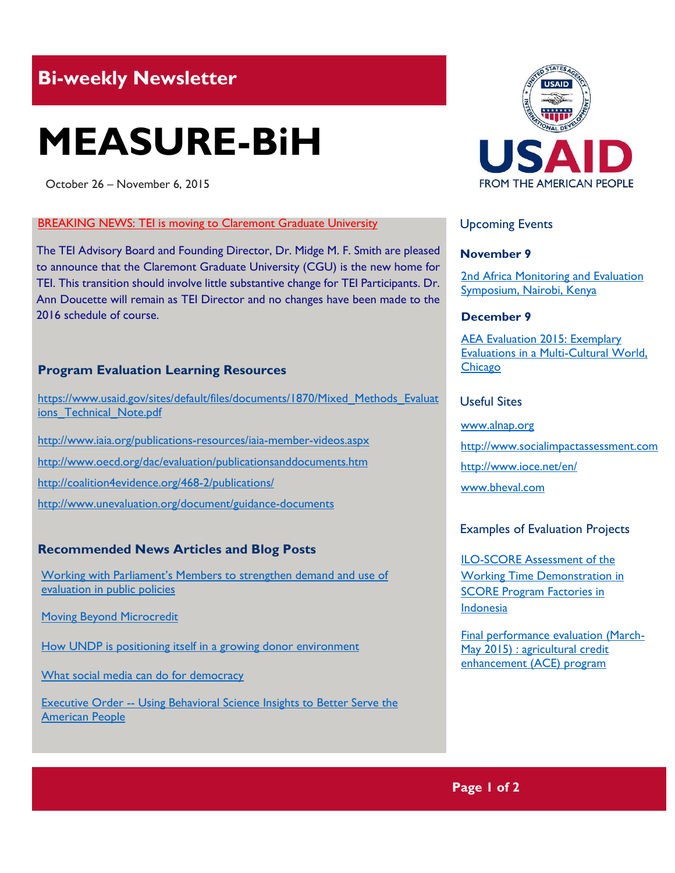# **Bi-weekly Newsletter**

# **MEASURE-BiH**

October 26 – November 6, 2015

#### **BREAKING NEWS: TEI is moving to Claremont Graduate University**

The TEI Advisory Board and Founding Director, Dr. Midge M. F. Smith are pleased to announce that the Claremont Graduate University (CGU) is the new home for TEI. This transition should involve little substantive change for TEI Participants. Dr. Ann Doucette will remain as TEI Director and no changes have been made to the 2016 schedule of course.

#### **Program Evaluation Learning Resources**

[https://www.usaid.gov/sites/default/files/documents/1870/Mixed\\_Methods\\_Evaluat](https://www.usaid.gov/sites/default/files/documents/1870/Mixed_Methods_Evaluations_Technical_Note.pdf) ions Technical Note.pdf

<http://www.iaia.org/publications-resources/iaia-member-videos.aspx>

<http://www.oecd.org/dac/evaluation/publicationsanddocuments.htm>

<http://coalition4evidence.org/468-2/publications/>

<http://www.unevaluation.org/document/guidance-documents>

## **Recommended News Articles and Blog Posts**

[Working with Parliament's Members to strengthen demand and use of](http://www.mymande.org/evalyear/working_with_parliaments)  [evaluation in public policies](http://www.mymande.org/evalyear/working_with_parliaments)

[Moving Beyond Microcredit](http://www.newyorker.com/business/currency/moving-beyond-microcredit)

[How UNDP is positioning itself in a growing donor environment](https://www.devex.com/news/how-undp-is-positioning-itself-in-a-growing-donor-environment-87217)

[What social media can do for democracy](https://www.devex.com/news/what-social-media-can-do-for-democracy-87164)

Executive Order -- [Using Behavioral Science Insights to Better Serve the](https://www.whitehouse.gov/the-press-office/2015/09/15/executive-order-using-behavioral-science-insights-better-serve-american)  [American People](https://www.whitehouse.gov/the-press-office/2015/09/15/executive-order-using-behavioral-science-insights-better-serve-american)



#### Upcoming Events

#### **November 9**

[2nd Africa Monitoring and Evaluation](http://reliefweb.int/training/1200846/africa-monitoring-and-evaluation-symposium)  [Symposium, Nairobi, Kenya](http://reliefweb.int/training/1200846/africa-monitoring-and-evaluation-symposium)

#### **December 9**

[AEA Evaluation 2015: Exemplary](http://www.evaluationconference.org/)  [Evaluations in a Multi-Cultural World,](http://www.evaluationconference.org/)  **[Chicago](http://www.evaluationconference.org/)** 

#### Useful Sites

[www.alnap.org](http://www.alnap.org/) [http://www.socialimpactassessment.com](http://www.socialimpactassessment.com/) <http://www.ioce.net/en/> www.bheval.com

#### Examples of Evaluation Projects

[ILO-SCORE Assessment of the](http://www.impaqint.com/work/case-studies/indonesia-ilo-score-assessment-working-time-demonstration-score-programme)  **Working Time Demonstration in** [SCORE Program Factories in](http://www.impaqint.com/work/case-studies/indonesia-ilo-score-assessment-working-time-demonstration-score-programme)  [Indonesia](http://www.impaqint.com/work/case-studies/indonesia-ilo-score-assessment-working-time-demonstration-score-programme)

[Final performance evaluation \(March-](https://dec.usaid.gov/dec/content/Detail.aspx?q=ZG9jdW1lbnRzLmJpYmxpb2dyYXBoaWNfdHlwZV9jb2RlOigyMiBPUiAyNCkgQU5EIGRvY3VtZW50cy5wcmltYXJ5X3N1YmplY3Q6KGRhKiBPUiBkYyogT1IgZGwqIE9SIGR0KiBPUiBOQTUwIE9SIEZBNTAgT1IgQUUwMCk=&ctID=ODVhZjk4NWQtM2YyMi00YjRmLTkxNjktZTcxMjM2NDBmY2Uy&rID=MzY0NTY1&qcf=&ph=VHJ1ZQ==&bckToL=VHJ1ZQ==&)May 2015) : agricultural credit [enhancement \(ACE\) program](https://dec.usaid.gov/dec/content/Detail.aspx?q=ZG9jdW1lbnRzLmJpYmxpb2dyYXBoaWNfdHlwZV9jb2RlOigyMiBPUiAyNCkgQU5EIGRvY3VtZW50cy5wcmltYXJ5X3N1YmplY3Q6KGRhKiBPUiBkYyogT1IgZGwqIE9SIGR0KiBPUiBOQTUwIE9SIEZBNTAgT1IgQUUwMCk=&ctID=ODVhZjk4NWQtM2YyMi00YjRmLTkxNjktZTcxMjM2NDBmY2Uy&rID=MzY0NTY1&qcf=&ph=VHJ1ZQ==&bckToL=VHJ1ZQ==&)

**Page 1 of 2**